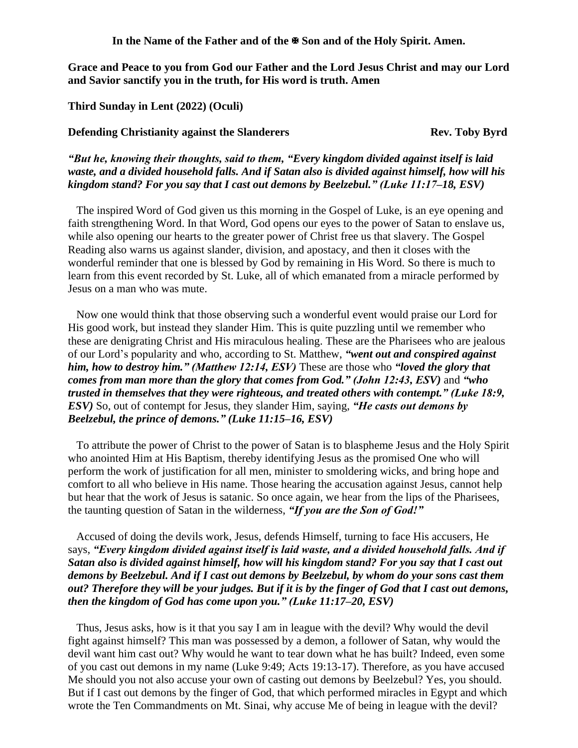**In the Name of the Father and of the Son and of the Holy Spirit. Amen.**

**Grace and Peace to you from God our Father and the Lord Jesus Christ and may our Lord and Savior sanctify you in the truth, for His word is truth. Amen**

**Third Sunday in Lent (2022) (Oculi)**

**Defending Christianity against the Slanderers Theory Rev. Toby Byrd** 

*"But he, knowing their thoughts, said to them, "Every kingdom divided against itself is laid waste, and a divided household falls. And if Satan also is divided against himself, how will his kingdom stand? For you say that I cast out demons by Beelzebul." (Luke 11:17–18, ESV)* 

The inspired Word of God given us this morning in the Gospel of Luke, is an eye opening and faith strengthening Word. In that Word, God opens our eyes to the power of Satan to enslave us, while also opening our hearts to the greater power of Christ free us that slavery. The Gospel Reading also warns us against slander, division, and apostacy, and then it closes with the wonderful reminder that one is blessed by God by remaining in His Word. So there is much to learn from this event recorded by St. Luke, all of which emanated from a miracle performed by Jesus on a man who was mute.

Now one would think that those observing such a wonderful event would praise our Lord for His good work, but instead they slander Him. This is quite puzzling until we remember who these are denigrating Christ and His miraculous healing. These are the Pharisees who are jealous of our Lord's popularity and who, according to St. Matthew, *"went out and conspired against him, how to destroy him." (Matthew 12:14, ESV)* These are those who *"loved the glory that comes from man more than the glory that comes from God." (John 12:43, ESV)* and "who *trusted in themselves that they were righteous, and treated others with contempt." (Luke 18:9, ESV)* So, out of contempt for Jesus, they slander Him, saying, *"He casts out demons by Beelzebul, the prince of demons." (Luke 11:15–16, ESV)*

To attribute the power of Christ to the power of Satan is to blaspheme Jesus and the Holy Spirit who anointed Him at His Baptism, thereby identifying Jesus as the promised One who will perform the work of justification for all men, minister to smoldering wicks, and bring hope and comfort to all who believe in His name. Those hearing the accusation against Jesus, cannot help but hear that the work of Jesus is satanic. So once again, we hear from the lips of the Pharisees, the taunting question of Satan in the wilderness, *"If you are the Son of God!"*

Accused of doing the devils work, Jesus, defends Himself, turning to face His accusers, He says, *"Every kingdom divided against itself is laid waste, and a divided household falls. And if Satan also is divided against himself, how will his kingdom stand? For you say that I cast out demons by Beelzebul. And if I cast out demons by Beelzebul, by whom do your sons cast them out? Therefore they will be your judges. But if it is by the finger of God that I cast out demons, then the kingdom of God has come upon you." (Luke 11:17–20, ESV)*

Thus, Jesus asks, how is it that you say I am in league with the devil? Why would the devil fight against himself? This man was possessed by a demon, a follower of Satan, why would the devil want him cast out? Why would he want to tear down what he has built? Indeed, even some of you cast out demons in my name (Luke 9:49; Acts 19:13-17). Therefore, as you have accused Me should you not also accuse your own of casting out demons by Beelzebul? Yes, you should. But if I cast out demons by the finger of God, that which performed miracles in Egypt and which wrote the Ten Commandments on Mt. Sinai, why accuse Me of being in league with the devil?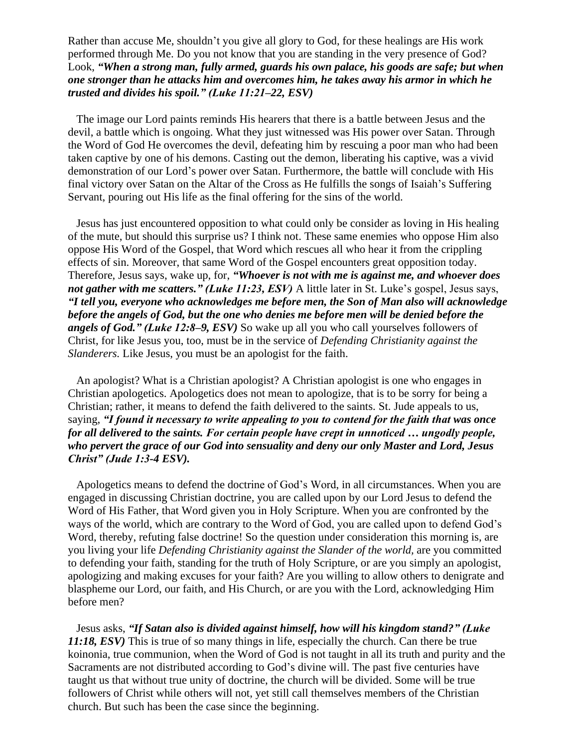Rather than accuse Me, shouldn't you give all glory to God, for these healings are His work performed through Me. Do you not know that you are standing in the very presence of God? Look, *"When a strong man, fully armed, guards his own palace, his goods are safe; but when one stronger than he attacks him and overcomes him, he takes away his armor in which he trusted and divides his spoil." (Luke 11:21–22, ESV)* 

The image our Lord paints reminds His hearers that there is a battle between Jesus and the devil, a battle which is ongoing. What they just witnessed was His power over Satan. Through the Word of God He overcomes the devil, defeating him by rescuing a poor man who had been taken captive by one of his demons. Casting out the demon, liberating his captive, was a vivid demonstration of our Lord's power over Satan. Furthermore, the battle will conclude with His final victory over Satan on the Altar of the Cross as He fulfills the songs of Isaiah's Suffering Servant, pouring out His life as the final offering for the sins of the world.

Jesus has just encountered opposition to what could only be consider as loving in His healing of the mute, but should this surprise us? I think not. These same enemies who oppose Him also oppose His Word of the Gospel, that Word which rescues all who hear it from the crippling effects of sin. Moreover, that same Word of the Gospel encounters great opposition today. Therefore, Jesus says, wake up, for, *"Whoever is not with me is against me, and whoever does not gather with me scatters.*" *(Luke 11:23, ESV)* A little later in St. Luke's gospel, Jesus says, *"I tell you, everyone who acknowledges me before men, the Son of Man also will acknowledge before the angels of God, but the one who denies me before men will be denied before the angels of God." (Luke 12:8–9, ESV)* So wake up all you who call yourselves followers of Christ, for like Jesus you, too, must be in the service of *Defending Christianity against the Slanderers.* Like Jesus, you must be an apologist for the faith.

An apologist? What is a Christian apologist? A Christian apologist is one who engages in Christian apologetics. Apologetics does not mean to apologize, that is to be sorry for being a Christian; rather, it means to defend the faith delivered to the saints. St. Jude appeals to us, saying, *"I found it necessary to write appealing to you to contend for the faith that was once for all delivered to the saints. For certain people have crept in unnoticed … ungodly people, who pervert the grace of our God into sensuality and deny our only Master and Lord, Jesus Christ" (Jude 1:3-4 ESV).*

Apologetics means to defend the doctrine of God's Word, in all circumstances. When you are engaged in discussing Christian doctrine, you are called upon by our Lord Jesus to defend the Word of His Father, that Word given you in Holy Scripture. When you are confronted by the ways of the world, which are contrary to the Word of God, you are called upon to defend God's Word, thereby, refuting false doctrine! So the question under consideration this morning is, are you living your life *Defending Christianity against the Slander of the world,* are you committed to defending your faith, standing for the truth of Holy Scripture, or are you simply an apologist, apologizing and making excuses for your faith? Are you willing to allow others to denigrate and blaspheme our Lord, our faith, and His Church, or are you with the Lord, acknowledging Him before men?

Jesus asks, *"If Satan also is divided against himself, how will his kingdom stand?" (Luke 11:18, ESV)* This is true of so many things in life, especially the church. Can there be true koinonia, true communion, when the Word of God is not taught in all its truth and purity and the Sacraments are not distributed according to God's divine will. The past five centuries have taught us that without true unity of doctrine, the church will be divided. Some will be true followers of Christ while others will not, yet still call themselves members of the Christian church. But such has been the case since the beginning.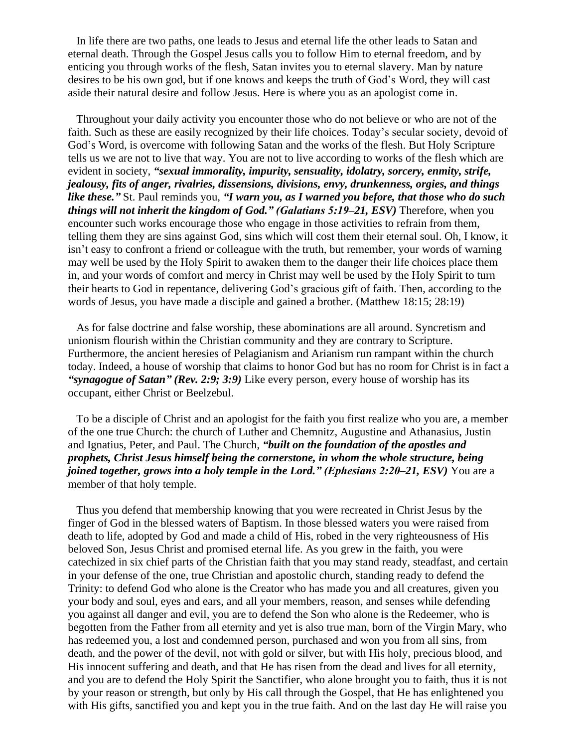In life there are two paths, one leads to Jesus and eternal life the other leads to Satan and eternal death. Through the Gospel Jesus calls you to follow Him to eternal freedom, and by enticing you through works of the flesh, Satan invites you to eternal slavery. Man by nature desires to be his own god, but if one knows and keeps the truth of God's Word, they will cast aside their natural desire and follow Jesus. Here is where you as an apologist come in.

Throughout your daily activity you encounter those who do not believe or who are not of the faith. Such as these are easily recognized by their life choices. Today's secular society, devoid of God's Word, is overcome with following Satan and the works of the flesh. But Holy Scripture tells us we are not to live that way. You are not to live according to works of the flesh which are evident in society, *"sexual immorality, impurity, sensuality, idolatry, sorcery, enmity, strife, jealousy, fits of anger, rivalries, dissensions, divisions, envy, drunkenness, orgies, and things like these."* St. Paul reminds you, *"I warn you, as I warned you before, that those who do such things will not inherit the kingdom of God." (Galatians 5:19–21, ESV)* Therefore, when you encounter such works encourage those who engage in those activities to refrain from them, telling them they are sins against God, sins which will cost them their eternal soul. Oh, I know, it isn't easy to confront a friend or colleague with the truth, but remember, your words of warning may well be used by the Holy Spirit to awaken them to the danger their life choices place them in, and your words of comfort and mercy in Christ may well be used by the Holy Spirit to turn their hearts to God in repentance, delivering God's gracious gift of faith. Then, according to the words of Jesus, you have made a disciple and gained a brother. (Matthew 18:15; 28:19)

As for false doctrine and false worship, these abominations are all around. Syncretism and unionism flourish within the Christian community and they are contrary to Scripture. Furthermore, the ancient heresies of Pelagianism and Arianism run rampant within the church today. Indeed, a house of worship that claims to honor God but has no room for Christ is in fact a *"synagogue of Satan" (Rev. 2:9; 3:9)* Like every person, every house of worship has its occupant, either Christ or Beelzebul.

To be a disciple of Christ and an apologist for the faith you first realize who you are, a member of the one true Church: the church of Luther and Chemnitz, Augustine and Athanasius, Justin and Ignatius, Peter, and Paul. The Church, *"built on the foundation of the apostles and prophets, Christ Jesus himself being the cornerstone, in whom the whole structure, being joined together, grows into a holy temple in the Lord." (Ephesians 2:20–21, ESV)* You are a member of that holy temple.

Thus you defend that membership knowing that you were recreated in Christ Jesus by the finger of God in the blessed waters of Baptism. In those blessed waters you were raised from death to life, adopted by God and made a child of His, robed in the very righteousness of His beloved Son, Jesus Christ and promised eternal life. As you grew in the faith, you were catechized in six chief parts of the Christian faith that you may stand ready, steadfast, and certain in your defense of the one, true Christian and apostolic church, standing ready to defend the Trinity: to defend God who alone is the Creator who has made you and all creatures, given you your body and soul, eyes and ears, and all your members, reason, and senses while defending you against all danger and evil, you are to defend the Son who alone is the Redeemer, who is begotten from the Father from all eternity and yet is also true man, born of the Virgin Mary, who has redeemed you, a lost and condemned person, purchased and won you from all sins, from death, and the power of the devil, not with gold or silver, but with His holy, precious blood, and His innocent suffering and death, and that He has risen from the dead and lives for all eternity, and you are to defend the Holy Spirit the Sanctifier, who alone brought you to faith, thus it is not by your reason or strength, but only by His call through the Gospel, that He has enlightened you with His gifts, sanctified you and kept you in the true faith. And on the last day He will raise you